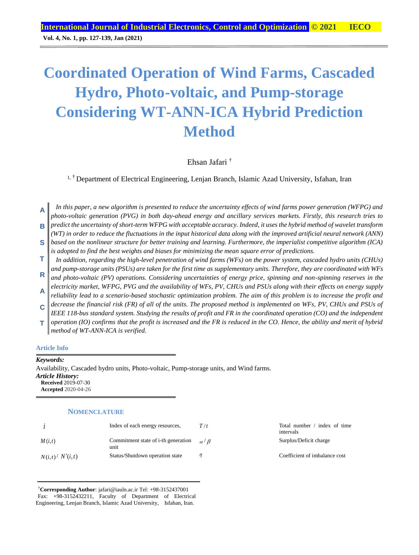**Vol. 4, No. 1, pp. 127-139, Jan (2021)**

# **Coordinated Operation of Wind Farms, Cascaded Hydro, Photo-voltaic, and Pump-storage Considering WT-ANN-ICA Hybrid Prediction Method**

Ehsan Jafari †

<sup>1, †</sup> Department of Electrical Engineering, Lenjan Branch, Islamic Azad University, Isfahan, Iran

*In this paper, a new algorithm is presented to reduce the uncertainty effects of wind farms power generation (WFPG) and photo-voltaic generation (PVG) in both day-ahead energy and ancillary services markets. Firstly, this research tries to predict the uncertainty of short-term WFPG with acceptable accuracy. Indeed, it uses the hybrid method of wavelet transform*  **A B**

*(WT) in order to reduce the fluctuations in the input historical data along with the improved artificial neural network (ANN) based on the nonlinear structure for better training and learning. Furthermore, the imperialist competitive algorithm (ICA)*  **S**

*is adopted to find the best weights and biases for minimizing the mean square error of predictions. In addition, regarding the high-level penetration of wind farms (WFs) on the power system, cascaded hydro units (CHUs)*  **T**

*and pump-storage units (PSUs) are taken for the first time as supplementary units. Therefore, they are coordinated with WFs and photo-voltaic (PV) operations. Considering uncertainties of energy price, spinning and non-spinning reserves in the*  **R**

*electricity market, WFPG, PVG and the availability of WFs, PV, CHUs and PSUs along with their effects on energy supply reliability lead to a scenario-based stochastic optimization problem. The aim of this problem is to increase the profit and*  **A**

*decrease the financial risk (FR) of all of the units. The proposed method is implemented on WFs, PV, CHUs and PSUs of IEEE 118-bus standard system. Studying the results of profit and FR in the coordinated operation (CO) and the independent*  **C**

*operation (IO) confirms that the profit is increased and the FR is reduced in the CO. Hence, the ability and merit of hybrid method of WT-ANN-ICA is verified.* **T**

## **Article Info**

*Keywords:* Availability, Cascaded hydro units, Photo-voltaic, Pump-storage units, and Wind farms. *Article History:* **Received** 2019-07-30 **Accepted** 2020-04-26

#### **NOMENCLATURE**

|                  | Index of each energy resources,             | T/t              | Total number / index of time<br>intervals |
|------------------|---------------------------------------------|------------------|-------------------------------------------|
| M(i,t)           | Commitment state of i-th generation<br>unit | $\alpha / \beta$ | Surplus/Deficit charge                    |
| N(i,t) / N'(i,t) | Status/Shutdown operation state             |                  | Coefficient of imbalance cost             |

†**Corresponding Author**: jafari@iauln.ac.ir Tel: +98-3152437001 Fax: +98-3152432211, Faculty of Department of Electrical Engineering, Lenjan Branch, Islamic Azad University, Isfahan, Iran.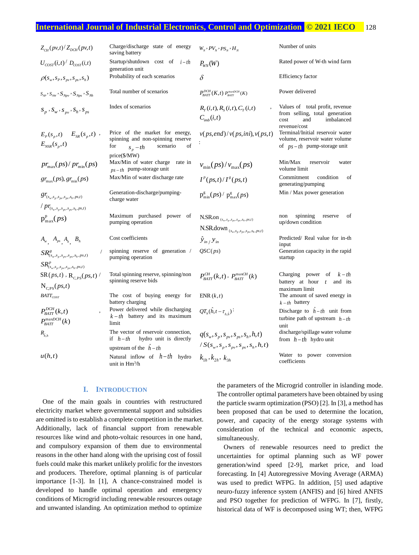# **International Journal of Industrial Electronics, Control and Optimization .© 2021 IECO…** 128

| $Z_{CH}(pv,t)/Z_{DCH}(pv,t)$                                          | Charge/discharge state of energy<br>saving battery                                                                        | $W_N$ , $PV_N$ , $PS_N$ , $H_N$                                   | Number of units                                                                                                |
|-----------------------------------------------------------------------|---------------------------------------------------------------------------------------------------------------------------|-------------------------------------------------------------------|----------------------------------------------------------------------------------------------------------------|
| $U_{\text{corr}}(i,t) / D_{\text{corr}}(i,t)$                         | Startup/shutdown cost of $i-th$<br>generation unit                                                                        | $P_{WN}(W)$                                                       | Rated power of W-th wind farm                                                                                  |
| $\rho(s_w, s_p, s_w, s_{ps}, s_h)$                                    | Probability of each scenarios                                                                                             | $\delta$                                                          | <b>Efficiency factor</b>                                                                                       |
| $S_{_{NP}}$ , $S_{_{NW}}$ , $S_{_{Npv}}$ , $S_{_{Nps}}$ , $S_{_{Nh}}$ | Total number of scenarios                                                                                                 | $P_{BAT}^{DCH}(K,t)$ $P_{BAT}^{maxDCH}(K)$                        | Power delivered                                                                                                |
| $S_p, S_w, S_{pv}, S_h, S_{ps}$                                       | Index of scenarios                                                                                                        | $R_{T}(i,t), R_{S}(i,t), C_{T}(i,t)$<br>$C_{\text{imb}}(i,t)$     | Values of total profit, revenue<br>from selling, total generation<br>imbalanced<br>and<br>cost<br>revenue/cost |
| $E_p(s_p,t)$ $E_{SR}(s_p,t)$ ,<br>$E_{NSR}(s_p,t)$                    | Price of the market for energy,<br>spinning and non-spinning reserve<br>for<br>scenario<br>οf<br>$s_n-th$<br>price(\$/MW) | v(ps, end)/v(ps, ini), v(ps, t)                                   | Terminal/Initial reservoir water<br>volume, reservoir water volume<br>of $ps-th$ pump-storage unit             |
| $pr_{\text{max}}(ps)/pr_{\text{min}}(ps)$                             | Max/Min of water charge<br>rate in<br>$ps-th$ pump-storage unit                                                           | $v_{\text{min}}(ps)/v_{\text{max}}(ps)$                           | Min/Max<br>reservoir<br>water<br>volume limit                                                                  |
| $gr_{\text{max}}(ps)$ , $gr_{\text{min}}(ps)$                         | Max/Min of water discharge rate                                                                                           | $I^p(ps,t)/I^g(ps,t)$                                             | Commitment<br>condition<br>οf<br>generating/pumping                                                            |
| $gr_{(s_w,s_p,s_{pv},s_{ps},s_h,ps,t)}$                               | Generation-discharge/pumping-<br>charge water                                                                             | $p_{\min}^{g}(ps) / p_{\max}^{g}(ps)$                             | Min / Max power generation                                                                                     |
| $/ pr_{(s_w,s_p,s_{pv},s_{ps},s_h,ps,t)}$                             |                                                                                                                           |                                                                   |                                                                                                                |
| $p_{max}^p(ps)$                                                       | Maximum purchased power of                                                                                                | N.SR.on $_{\left( s_{w},s_{p},s_{pv},s_{ps},s_{h},ps,t\right) }$  | spinning<br>non<br>reserve<br>of                                                                               |
|                                                                       | pumping operation                                                                                                         | N.SR.down $_{(s_w,s_p,s_{pv},s_{ps},s_h,ps,t)}$                   | up/down condition                                                                                              |
| $A_w$ $A_{ps}$ $A_h$ $B_h$                                            | Cost coefficients                                                                                                         | $\hat{y}_{in}$ / $y_{in}$                                         | Predicted/ Real value for in-th<br>input                                                                       |
| $\sqrt{2}$<br>$SR^g_{(s_w,s_n,s_m,s_n,s_h,ps,t)}$                     | spinning reserve of generation /<br>pumping operation                                                                     | QSC(ps)                                                           | Generation capacity in the rapid<br>startup                                                                    |
| $SR_{(s_w, s_p, s_{pv}, s_{ps}, s_h, ps, t)}^p$                       |                                                                                                                           |                                                                   |                                                                                                                |
| $\text{SR}(ps,t)$ , $\text{R}_{CPS}(ps,t)$                            | Total spinning reserve, spinning/non                                                                                      | $P_{\text{rATT}}^{CH}(k,t)$ , $P_{\text{rATT}}^{\text{maxCH}}(k)$ | Charging power of $k-th$                                                                                       |
| $N_{CPS}(ps,t)$                                                       | spinning reserve bids                                                                                                     |                                                                   | battery at hour $t$ and its<br>maximum limit                                                                   |
| $BATT_{COST}$                                                         | The cost of buying energy for<br>battery charging                                                                         | ENR(k,t)                                                          | The amount of saved energy in<br>$k-th$ battery                                                                |
| $P_{BAT}^{DCH}(k,t)$<br>$P_{BAT}^{maxDCH}(k)$                         | Power delivered while discharging<br>$k-th$ battery and its maximum<br>limit                                              | $QT_h(\hat{h}, t-\tau_{h,\hat{h}})$                               | Discharge to $h-th$ unit from<br>turbine path of upstream $h-th$<br>unit                                       |
| $R_{\hat{h},h}$                                                       | The vector of reservoir connection,<br>if $h-th$ hydro unit is directly                                                   | $q(s_{w}, s_{n}, s_{w}, s_{ns}, s_{h}, h, t)$                     | discharge/spillage water volume<br>from $h-th$ hydro unit                                                      |
|                                                                       | upstream of the $\hat{h} - th$                                                                                            | $/S(s_w, s_p, s_{pv}, s_{ps}, s_h, h, t)$                         |                                                                                                                |
| u(h,t)                                                                | Natural inflow of $h-th$ hydro<br>unit in $Hm^3/h$                                                                        | $k_{1h}$ , $k_{2h}$ , $k_{3h}$                                    | Water to power conversion<br>coefficients                                                                      |

### **I. INTRODUCTION**

One of the main goals in countries with restructured electricity market where governmental support and subsidies are omitted is to establish a complete competition in the market. Additionally, lack of financial support from renewable resources like wind and photo-voltaic resources in one hand, and compulsory expansion of them due to environmental reasons in the other hand along with the uprising cost of fossil fuels could make this market unlikely prolific for the investors and producers. Therefore, optimal planning is of particular importance [1-3]. In [1], A chance-constrained model is developed to handle optimal operation and emergency conditions of Microgrid including renewable resources outage and unwanted islanding. An optimization method to optimize

the parameters of the Microgrid controller in islanding mode. The controller optimal parameters have been obtained by using the particle swarm optimization (PSO) [2]. In [3], a method has been proposed that can be used to determine the location, power, and capacity of the energy storage systems with consideration of the technical and economic aspects, simultaneously.

Owners of renewable resources need to predict the uncertainties for optimal planning such as WF power generation/wind speed [2-9], market price, and load forecasting. In [4] Autoregressive Moving Average (ARMA) was used to predict WFPG. In addition, [5] used adaptive neuro-fuzzy inference system (ANFIS) and [6] hired ANFIS and PSO together for prediction of WFPG. In [7], firstly, historical data of WF is decomposed using WT; then, WFPG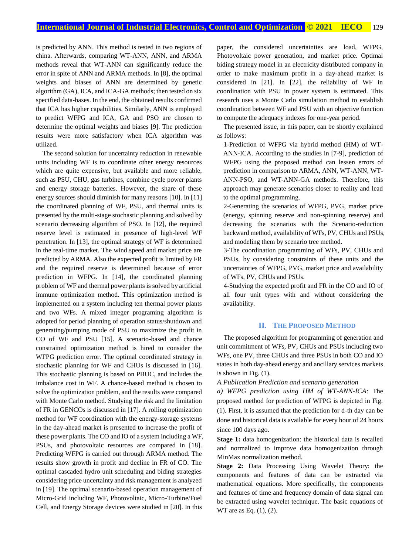is predicted by ANN. This method is tested in two regions of china. Afterwards, comparing WT-ANN, ANN, and ARMA methods reveal that WT-ANN can significantly reduce the error in spite of ANN and ARMA methods. In [8], the optimal weights and biases of ANN are determined by genetic algorithm (GA), ICA, and ICA-GA methods; then tested on six specified data-bases. In the end, the obtained results confirmed that ICA has higher capabilities. Similarly, ANN is employed to predict WFPG and ICA, GA and PSO are chosen to determine the optimal weights and biases [9]. The prediction results were more satisfactory when ICA algorithm was utilized.

The second solution for uncertainty reduction in renewable units including WF is to coordinate other energy resources which are quite expensive, but available and more reliable, such as PSU, CHU, gas turbines, combine cycle power plants and energy storage batteries. However, the share of these energy sources should diminish for many reasons [10]. In [11] the coordinated planning of WF, PSU, and thermal units is presented by the multi-stage stochastic planning and solved by scenario decreasing algorithm of PSO. In [12], the required reserve level is estimated in presence of high-level WF penetration. In [13], the optimal strategy of WF is determined in the real-time market. The wind speed and market price are predicted by ARMA. Also the expected profit is limited by FR and the required reserve is determined because of error prediction in WFPG. In [14], the coordinated planning problem of WF and thermal power plants is solved by artificial immune optimization method. This optimization method is implemented on a system including ten thermal power plants and two WFs. A mixed integer programing algorithm is adopted for period planning of operation status/shutdown and generating/pumping mode of PSU to maximize the profit in CO of WF and PSU [15]. A scenario-based and chance constrained optimization method is hired to consider the WFPG prediction error. The optimal coordinated strategy in stochastic planning for WF and CHUs is discussed in [16]. This stochastic planning is based on PBUC, and includes the imbalance cost in WF. A chance-based method is chosen to solve the optimization problem, and the results were compared with Monte Carlo method. Studying the risk and the limitation of FR in GENCOs is discussed in [17]. A rolling optimization method for WF coordination with the energy-storage systems in the day-ahead market is presented to increase the profit of these power plants. The CO and IO of a system including a WF, PSUs, and photovoltaic resources are compared in [18]. Predicting WFPG is carried out through ARMA method. The results show growth in profit and decline in FR of CO. The optimal cascaded hydro unit scheduling and biding strategies considering price uncertainty and risk management is analyzed in [19]. The optimal scenario-based operation management of Micro-Grid including WF, Photovoltaic, Micro-Turbine/Fuel Cell, and Energy Storage devices were studied in [20]. In this

paper, the considered uncertainties are load, WFPG, Photovoltaic power generation, and market price. Optimal biding strategy model in an electricity distributed company in order to make maximum profit in a day-ahead market is considered in [21]. In [22], the reliability of WF in coordination with PSU in power system is estimated. This research uses a Monte Carlo simulation method to establish coordination between WF and PSU with an objective function to compute the adequacy indexes for one-year period.

The presented issue, in this paper, can be shortly explained as follows:

1-Prediction of WFPG via hybrid method (HM) of WT-ANN-ICA. According to the studies in [7-9], prediction of WFPG using the proposed method can lessen errors of prediction in comparison to ARMA, ANN, WT-ANN, WT-ANN-PSO, and WT-ANN-GA methods. Therefore, this approach may generate scenarios closer to reality and lead to the optimal programming.

2-Generating the scenarios of WFPG, PVG, market price (energy, spinning reserve and non-spinning reserve) and decreasing the scenarios with the Scenario-reduction backward method, availability of WFs, PV, CHUs and PSUs, and modeling them by scenario tree method.

3-The coordination programming of WFs, PV, CHUs and PSUs, by considering constraints of these units and the uncertainties of WFPG, PVG, market price and availability of WFs, PV, CHUs and PSUs.

4-Studying the expected profit and FR in the CO and IO of all four unit types with and without considering the availability.

## **II. THE PROPOSED METHOD**

The proposed algorithm for programming of generation and unit commitment of WFs, PV, CHUs and PSUs including two WFs, one PV, three CHUs and three PSUs in both CO and IO states in both day-ahead energy and ancillary services markets is shown in Fig. (1).

*A.Publication Prediction and scenario generation*

*a) WFPG prediction using HM of WT-ANN-ICA:* The proposed method for prediction of WFPG is depicted in Fig. (1). First, it is assumed that the prediction for d-th day can be done and historical data is available for every hour of 24 hours since 100 days ago.

**Stage 1:** data homogenization: the historical data is recalled and normalized to improve data homogenization through MinMax normalization method.

**Stage 2:** Data Processing Using Wavelet Theory: the components and features of data can be extracted via mathematical equations. More specifically, the components and features of time and frequency domain of data signal can be extracted using wavelet technique. The basic equations of WT are as Eq. (1), (2).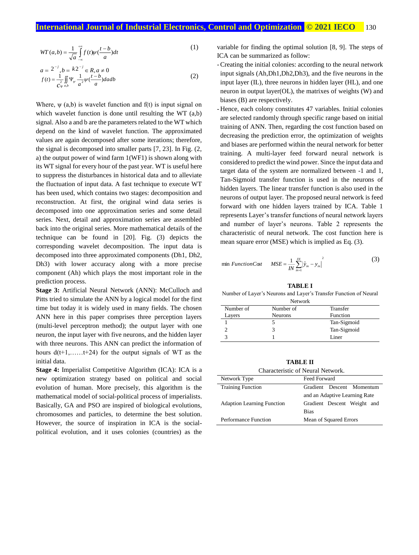$$
WT(a,b) = \frac{1}{\sqrt{a}} \int_{-\infty}^{+\infty} f(t) \psi(\frac{t-b}{a}) dt
$$
 (1)

$$
a = 2^{-j}, b = k2^{-j} \in R, a \neq 0
$$
  

$$
f(t) = \frac{1}{2} \iint_{C_{\Psi} a,b} \Psi_{\Psi} \frac{1}{a^2} \psi(\frac{t-b}{a}) da db
$$
 (2)

Where,  $\psi$  (a,b) is wavelet function and f(t) is input signal on which wavelet function is done until resulting the WT (a,b) signal. Also a and b are the parameters related to the WT which depend on the kind of wavelet function. The approximated values are again decomposed after some iterations; therefore, the signal is decomposed into smaller parts [7, 23]. In Fig. (2, a) the output power of wind farm 1(WF1) is shown along with its WT signal for every hour of the past year. WT is useful here to suppress the disturbances in historical data and to alleviate the fluctuation of input data. A fast technique to execute WT has been used, which contains two stages: decomposition and reconstruction. At first, the original wind data series is decomposed into one approximation series and some detail series. Next, detail and approximation series are assembled back into the original series. More mathematical details of the technique can be found in [20]. Fig. (3) depicts the corresponding wavelet decomposition. The input data is decomposed into three approximated components (Dh1, Dh2, Dh3) with lower accuracy along with a more precise component (Ah) which plays the most important role in the prediction process.

**Stage 3:** Artificial Neural Network (ANN): McCulloch and Pitts tried to simulate the ANN by a logical model for the first time but today it is widely used in many fields. The chosen ANN here in this paper comprises three perception layers (multi-level perceptron method); the output layer with one neuron, the input layer with five neurons, and the hidden layer with three neurons. This ANN can predict the information of hours  $d(t+1, \ldots, t+24)$  for the output signals of WT as the initial data.

**Stage 4:** Imperialist Competitive Algorithm (ICA): ICA is a new optimization strategy based on political and social evolution of human. More precisely, this algorithm is the mathematical model of social-political process of imperialists. Basically, GA and PSO are inspired of biological evolutions, chromosomes and particles, to determine the best solution. However, the source of inspiration in ICA is the socialpolitical evolution, and it uses colonies (countries) as the

variable for finding the optimal solution [8, 9]. The steps of ICA can be summarized as follow:

- -Creating the initial colonies: according to the neural network input signals (Ah,Dh1,Dh2,Dh3), and the five neurons in the input layer (IL), three neurons in hidden layer (HL), and one neuron in output layer(OL), the matrixes of weights (W) and biases (B) are respectively.
- Hence, each colony constitutes 47 variables. Initial colonies are selected randomly through specific range based on initial training of ANN. Then, regarding the cost function based on decreasing the prediction error, the optimization of weights and biases are performed within the neural network for better training. A multi-layer feed forward neural network is considered to predict the wind power. Since the input data and target data of the system are normalized between -1 and 1, Tan-Sigmoid transfer function is used in the neurons of hidden layers. The linear transfer function is also used in the neurons of output layer. The proposed neural network is feed forward with one hidden layers trained by ICA. Table 1 represents Layer's transfer functions of neural network layers and number of layer's neurons. Table 2 represents the characteristic of neural network. The cost function here is mean square error (MSE) which is implied as Eq. (3).

$$
\min \,Function\,, \,C\alpha t \qquad \, MSE = \frac{1}{IN} \sum_{m=1}^{IN} \left| \hat{y}_m - y_m \right|^2 \tag{3}
$$

#### **TABLE I**

Number of Layer's Neurons and Layer's Transfer Function of Neural

| <b>Network</b> |           |             |  |  |  |  |
|----------------|-----------|-------------|--|--|--|--|
| Number of      | Number of | Transfer    |  |  |  |  |
| Layers         | Neurons   | Function    |  |  |  |  |
|                |           | Tan-Sigmoid |  |  |  |  |
|                |           | Tan-Sigmoid |  |  |  |  |
|                |           | Liner       |  |  |  |  |

**TABLE II**

| Network Type                      | Feed Forward                  |  |  |  |  |  |
|-----------------------------------|-------------------------------|--|--|--|--|--|
| <b>Training Function</b>          | Gradient Descent Momentum     |  |  |  |  |  |
|                                   | and an Adaptive Learning Rate |  |  |  |  |  |
| <b>Adaption Learning Function</b> | Gradient Descent Weight and   |  |  |  |  |  |
|                                   | <b>Bias</b>                   |  |  |  |  |  |
| Performance Function              | Mean of Squared Errors        |  |  |  |  |  |
|                                   |                               |  |  |  |  |  |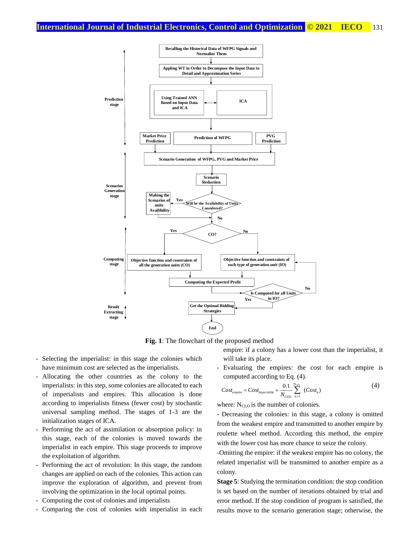

**Fig. 1**: The flowchart of the proposed method

- Selecting the imperialist: in this stage the colonies which have minimum cost are selected as the imperialists.
- Allocating the other countries as the colony to the imperialists: in this step, some colonies are allocated to each of imperialists and empires. This allocation is done according to imperialists fitness (fewer cost) by stochastic universal sampling method. The stages of 1-3 are the initialization stages of ICA.
- Performing the act of assimilation or absorption policy: in this stage, each of the colonies is moved towards the imperialist in each empire. This stage proceeds to improve the exploitation of algorithm.
- Performing the act of revolution: In this stage, the random changes are applied on each of the colonies. This action can improve the exploration of algorithm, and prevent from involving the optimization in the local optimal points.
- Computing the cost of colonies and imperialists
- Comparing the cost of colonies with imperialist in each

empire: if a colony has a lower cost than the imperialist, it will take its place.

- Evaluating the empires: the cost for each empire is computed according to Eq. (4).

$$
Cost_{empire} = Cost_{imperialist} + \frac{0.1}{N_{COL}} \sum_{n=1}^{N_{COL}} (Cost_n)
$$
 (4)

where: N<sub>CLO</sub> is the number of colonies.

- Decreasing the colonies: in this stage, a colony is omitted from the weakest empire and transmitted to another empire by roulette wheel method. According this method, the empire with the lower cost has more chance to seize the colony.

-Omitting the empire: if the weakest empire has no colony, the related imperialist will be transmitted to another empire as a colony.

**Stage 5**: Studying the termination condition: the stop condition is set based on the number of iterations obtained by trial and error method. If the stop condition of program is satisfied, the results move to the scenario generation stage; otherwise, the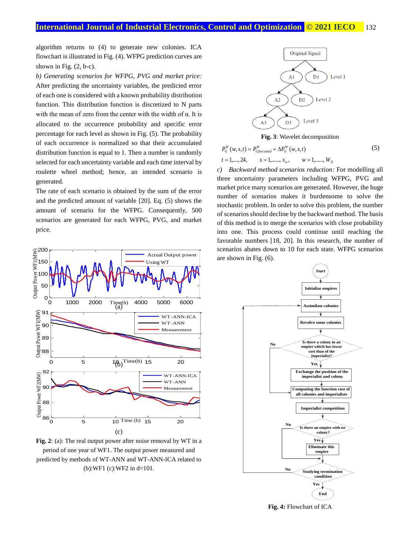algorithm returns to (4) to generate new colonies. ICA flowchart is illustrated in Fig. (4). WFPG prediction curves are shown in Fig.  $(2, b-c)$ .

*b) Generating scenarios for WFPG, PVG and market price:* After predicting the uncertainty variables, the predicted error of each one is considered with a known probability distribution function. This distribution function is discretized to N parts with the mean of zero from the center with the width of  $\alpha$ . It is allocated to the occurrence probability and specific error percentage for each level as shown in Fig. (5). The probability of each occurrence is normalized so that their accumulated distribution function is equal to 1. Then a number is randomly selected for each uncertainty variable and each time interval by roulette wheel method; hence, an intended scenario is generated.

The rate of each scenario is obtained by the sum of the error and the predicted amount of variable [20]. Eq. (5) shows the amount of scenario for the WFPG. Consequently, 500 scenarios are generated for each WFPG, PVG, and market price.



**Fig. 2**: (a): The real output power after noise removal by WT in a period of one year of WF1. The output power measured and predicted by methods of WT-ANN and WT-ANN-ICA related to (b):WF1 (c):WF2 in d=101.



**Fig. 3**: Wavelet decomposition

$$
P_G^W(w, s, t) = P_{G\text{forcasted}}^W + \Delta P_G^W(w, s, t)
$$
  
\n
$$
t = 1, \dots, 24, \qquad s = 1, \dots, s_w, \qquad w = 1, \dots, W_N
$$
 (5)

*c) Backward method scenarios reduction:* For modelling all three uncertainty parameters including WFPG, PVG and market price many scenarios are generated. However, the huge number of scenarios makes it burdensome to solve the stochastic problem. In order to solve this problem, the number of scenarios should decline by the backward method. The basis of this method is to merge the scenarios with close probability into one. This process could continue until reaching the favorable numbers [18, 20]. In this research, the number of scenarios abates down to 10 for each state. WFPG scenarios are shown in Fig. (6).



**Fig. 4:** Flowchart of ICA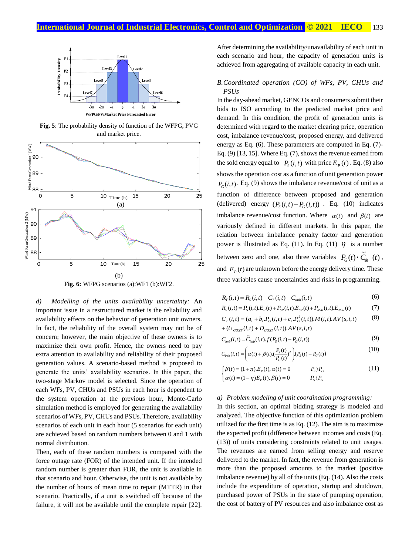

**Fig. 5**: The probability density of function of the WFPG, PVG and market price.



**Fig. 6:** WFPG scenarios (a):WF1 (b):WF2.

*d) Modelling of the units availability uncertainty:* An important issue in a restructured market is the reliability and availability effects on the behavior of generation unit owners. In fact, the reliability of the overall system may not be of concern; however, the main objective of these owners is to maximize their own profit. Hence, the owners need to pay extra attention to availability and reliability of their proposed generation values. A scenario-based method is proposed to generate the units' availability scenarios. In this paper, the two-stage Markov model is selected. Since the operation of each WFs, PV, CHUs and PSUs in each hour is dependent to the system operation at the previous hour, Monte-Carlo simulation method is employed for generating the availability scenarios of WFs, PV, CHUs and PSUs. Therefore, availability scenarios of each unit in each hour (5 scenarios for each unit) are achieved based on random numbers between 0 and 1 with normal distribution.

Then, each of these random numbers is compared with the force outage rate (FOR) of the intended unit. If the intended random number is greater than FOR, the unit is available in that scenario and hour. Otherwise, the unit is not available by the number of hours of mean time to repair (MTTR) in that scenario. Practically, if a unit is switched off because of the failure, it will not be available until the complete repair [22].

After determining the availability/unavailability of each unit in each scenario and hour, the capacity of generation units is achieved from aggregating of available capacity in each unit.

## *B.Coordinated operation (CO) of WFs, PV, CHUs and PSUs*

In the day-ahead market, GENCOs and consumers submit their bids to ISO according to the predicted market price and demand. In this condition, the profit of generation units is determined with regard to the market clearing price, operation cost, imbalance revenue/cost, proposed energy, and delivered energy as Eq. (6). These parameters are computed in Eq. (7)- Eq. (9) [13, 15]. Where Eq. (7), shows the revenue earned from the sold energy equal to  $P_S(i, t)$  with price  $E_P(t)$ . Eq. (8) also shows the operation cost as a function of unit generation power  $P_G(i,t)$ . Eq. (9) shows the imbalance revenue/cost of unit as a function of difference between proposed and generation (delivered) energy  $(P_s(i,t) - P_c(i,t))$ . Eq. (10) indicates imbalance revenue/cost function. Where  $\alpha(t)$  and  $\beta(t)$  are variously defined in different markets. In this paper, the relation between imbalance penalty factor and generation power is illustrated as Eq. (11). In Eq. (11)  $\eta$  is a number between zero and one, also three variables  $P_G(t) \cdot \tilde{C}_{\text{min}}(t)$ , and  $E_p(t)$  are unknown before the energy delivery time. These three variables cause uncertainties and risks in programming.

$$
R_{T}(i,t) = R_{S}(i,t) - C_{T}(i,t) - C_{\text{imb}}(i,t)
$$
\n(6)

$$
R_{S}(i,t) = P_{S}(i,t).E_{P}(t) + P_{SR}(i,t).E_{SR}(t) + P_{NSR}(i,t).E_{NSR}(t)
$$
\n(7)

$$
C_T(i,t) = (a_i + b_i P_G(i,t) + c_i P_G^2(i,t)).M(i,t).AV(s,i,t)
$$
 (8)

$$
+(U_{\text{COST}}(i,t)+D_{\text{COST}}(i,t)).AV(s,i,t)
$$

$$
C_{\text{imb}}(i,t) = \widetilde{C}_{\text{imb}}(i,t).f(P_{\text{S}}(i,t) - P_{\text{G}}(i,t))
$$
\n(9)

$$
C_{_{imb}}(i,t) = \left(\alpha(t) + \beta(t)\left(\frac{P_s(t)}{P_c(t)}\right)^2\right) \left(P_s(t) - P_c(t)\right) \tag{10}
$$

$$
\begin{cases}\n\beta(t) = (1+\eta).E_p(t), \alpha(t) = 0 & P_s \rangle P_G \\
\alpha(t) = (1-\eta)E_p(t), \beta(t) = 0 & P_s \langle P_G\n\end{cases}
$$
\n(11)

#### *a) Problem modeling of unit coordination programming:*

In this section, an optimal bidding strategy is modeled and analyzed. The objective function of this optimization problem utilized for the first time is as Eq. (12). The aim is to maximize the expected profit (difference between incomes and costs (Eq. (13)) of units considering constraints related to unit usages. The revenues are earned from selling energy and reserve delivered to the market. In fact, the revenue from generation is more than the proposed amounts to the market (positive imbalance revenue) by all of the units (Eq. (14). Also the costs include the expenditure of operation, startup and shutdown, purchased power of PSUs in the state of pumping operation, the cost of battery of PV resources and also imbalance cost as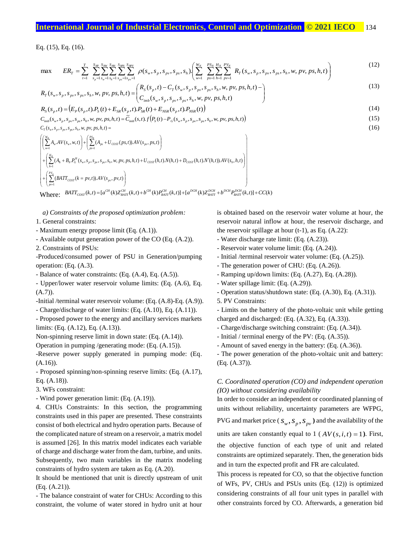# **International Journal of Industrial Electronics, Control and Optimization .© 2021 IECO…** 134

Eq. (15), Eq. (16).

Eq. (15), Eq. (16).  
\n
$$
\max \qquad ER_{T} = \sum_{t=1}^{T} \sum_{s_{p}=1}^{S_{NP}} \sum_{s_{w}=1}^{S_{MP}} \sum_{s_{h}=1}^{S_{MP}} \sum_{s_{p}=\sum_{s_{p}=1}^{S_{NP}} \sum_{s_{p}=1}^{S_{NP}} \sum_{s_{p}=1}^{S_{NP}} \rho(s_{w}, s_{p}, s_{pv}, s_{ps}, s_{h}) \left( \sum_{w=1}^{W_{N}} \sum_{p=1}^{PS_{N}} \sum_{h=1}^{H_{N}} \sum_{p=1}^{PV_{N}} R_{T}(s_{w}, s_{p}, s_{pv}, s_{ps}, s_{h}, w, pv, ps, h, t) \right)
$$
\n
$$
R_{T}(s_{w}, s_{p}, s_{pv}, s_{ps}, s_{h}, w, pv, ps, h, t) = \begin{pmatrix} R_{S}(s_{p}, t) - C_{T}(s_{w}, s_{p}, s_{pv}, s_{ps}, s_{h}, w, pv, ps, h, t) \\ C_{imb}(s_{w}, s_{p}, s_{ps}, s_{p}, s_{ps}, s_{h}, w, pv, ps, h, t) \end{pmatrix}
$$
\n(12)

$$
\max \sum E_{\mathcal{K}_{T}} = \sum_{t=1}^{N} \sum_{s_{p}=1}^{N} \sum_{s_{u}=1}^{N} \sum_{s_{h}=1}^{N} \sum_{s_{p}=\lfloor s_{p} \rfloor}^{N} \rho(s_{w}, s_{p}, s_{pv}, s_{ps}, s_{h}) \cdot \left( \sum_{w=1}^{N} \sum_{p \geq 1}^{N} \sum_{h=1}^{N} \sum_{p \geq 1}^{N} K_{T}(s_{w}, s_{p}, s_{pv}, s_{ps}, s_{h}, w, pv, ps, n, t) \right)
$$
\n
$$
R_{T}(s_{w}, s_{p}, s_{pv}, s_{ps}, s_{h}, w, pv, ps, h, t) = \begin{pmatrix} R_{S}(s_{p}, t) - C_{T}(s_{w}, s_{p}, s_{pv}, s_{ps}, s_{h}, w, pv, ps, h, t) \\ C_{imb}(s_{w}, s_{p}, s_{ps}, s_{h}, w, pv, ps, h, t) \end{pmatrix}
$$
\n
$$
R_{S}(s_{w}, s_{p}, s_{pv}, s_{ps}, s_{h}, w, pv, ps, h, t) \tag{13}
$$

$$
\begin{aligned}\n&\left(C_{imb}(s_w, s_p, s_p, s_p, s_h, w, p v, p s, h, t)\right) \\
&\left(C_{imb}(s_w, s_p, s_p, s_h, w, p v, p s, h, t)\right) \\
&\left(C_{imb}(s_w, s_p, s_p, s_h, w, p v, p s, h, t)\right) \\
&\left(C_{imb}(s_w, s_p, s_p, s_p, s_h, w, p v, p s, h, t)\right) \\
&\left(C_{imb}(s_w, s_p, s_p, s_h, w, p v, p s, h, t)\right) \\
&\left(C_{imb}(s_w, s_p, s_p, s_h, w, p v, p s, h, t)\right) \\
&\left(C_{imb}(s_w, s_p, s_p, s_h, w, p v, p s, h, t)\right) \\
&\left(C_{imb}(s_w, s_p, s_p, s_p, s_h, w, p v, p s, h, t)\right) \\
&\left(C_{imb}(s_w, s_p, s_p, s_h, w, p v, p s, h, t)\right) \\
&\left(C_{imb}(s_w, s_p, s_p, s_h, w, p v, p s, h, t)\right) \\
&\left(C_{imb}(s_w, s_p, s_p, s_h, w, p v, p s, h, t)\right) \\
&\left(C_{imb}(s_w, s_p, s_p, s_h, w, p v, p s, h, t)\right) \\
&\left(C_{imb}(s_w, s_p, s_h, w, p v, p s, h, t)\right) \\
&\left(C_{imb}(s_w, s_p, s_h, w, p v, p s, h, t)\right) \\
&\left(C_{imb}(s_w, s_p, s_h, w, p v, p s, h, t)\right) \\
&\left(C_{imb}(s_w, s_p, s_h, w, p v, p s, h, t)\right) \\
&\left(C_{imb}(s_w, s_p, s_h, w, p v, p s, h, t)\right) \\
&\left(C_{imb}(s_w, s_p, s_h, w, p v, p s, h, t)\right) \\
&\left(C_{imb}(s_w, s_h, s_h, w, p v, p s, h, t)\right) \\
&\left(C_{imb}(s_w, s_h, s_h, w, p v, p s, h, t)\right) \\
&\left(C_{imb}(s_w, s_h, s_h, w, p v, p s, h, t)\right) \\
&\left(C_{imb}(s_w, s_h, s_h, w, p v, p s, h, t)\right) \\
&\left(C_{
$$

$$
C_{\text{imb}}(s_{w}, s_{p}, s_{p_{v}}, s_{p_{s}}, s_{h}, w, pv, ps, h, t) = \widetilde{C}_{\text{imb}}(s, t) \cdot f(P_{s}(t) - P_{G}(s_{w}, s_{p}, s_{p_{v}}, s_{p_{s}}, s_{h}, w, pv, ps, h, t))
$$

 $T \sim w$ <sup>*n*</sup> *p p p p<sub>v</sub> p<sub>s</sub> p<sub>s</sub> n*<sub>*i*</sub>  $(s_w, s_n, s_w, s_m, s_h, w, pv, ps, h, t)$ 

$$
C_{imb}(s_w, s_p, s_{pv}, s_{ps}, s_h, w, pv, ps, h, t) = C_{imb}(s, t).f(P_s(t) - P_G(s_w, s_p, s_{pv}, s_{ps}, s_h, w, pv, ps, h, t))
$$
  
\n
$$
C_T(s_w, s_p, s_{pv}, s_{ps}, s_h, w, pv, ps, h, t) =
$$
  
\n
$$
\left( \sum_{w=1}^{w_s} A_w AV(s_w, w, t) \right) + \left( \sum_{p=1}^{ps_s} (A_{ps} + U_{COST}(ps, t)).AV(s_{ps}, ps, t) \right)
$$
  
\n
$$
+ \left( \sum_{h=1}^{H_s} (A_h + B_h P_G^H(s_w, s_p, s_{pv}, s_p, s_h, w, pv, ps, h, t) + U_{COST}(h, t). N(h, t) + D_{COST}(h, t). N'(h, t)).AV(s_h, h, t) \right)
$$
  
\n
$$
+ \left( \sum_{p=1}^{p_{V_s}} (BAT_{COST}(k = pv, t)).AV(s_{pv}, pv, t) \right)
$$

Where:  $BAT_{\text{cost}}(k,t) = [a^{\text{CH}}(k)Z_{\text{BAT}}^{CH}(k,t) + b^{\text{CH}}(k)P_{\text{BAT}}^{CH}(k,t)] + [a^{\text{DCH}}(k)Z_{\text{BAT}}^{DCH} + b^{\text{DCH}}P_{\text{BAT}}^{DCH}(k,t)] + CC(k)$ 

*a) Constraints of the proposed optimization problem:*

1. General constraints:

- Maximum energy propose limit (Eq. (A.1)).
- Available output generation power of the CO (Eq. (A.2)).

2. Constraints of PSUs:

-Produced/consumed power of PSU in Generation/pumping operation: (Eq. (A.3).

- Balance of water constraints: (Eq. (A.4), Eq. (A.5)).

- Upper/lower water reservoir volume limits: (Eq. (A.6), Eq. (A.7)).

-Initial /terminal water reservoir volume: (Eq. (A.8)-Eq. (A.9)). - Charge/discharge of water limits: (Eq. (A.10), Eq. (A.11)).

- Proposed power to the energy and ancillary services markets limits: (Eq. (A.12), Eq. (A.13)).

Non-spinning reserve limit in down state: (Eq. (A.14)).

Operation in pumping /generating mode: (Eq. (A.15)).

-Reserve power supply generated in pumping mode: (Eq. (A.16)).

- Proposed spinning/non-spinning reserve limits: (Eq. (A.17), Eq. (A.18)).

3. WFs constraint:

- Wind power generation limit: (Eq. (A.19)).

4. CHUs Constraints: In this section, the programming constraints used in this paper are presented. These constraints consist of both electrical and hydro operation parts. Because of the complicated nature of stream on a reservoir, a matrix model is assumed [26]. In this matrix model indicates each variable of charge and discharge water from the dam, turbine, and units. Subsequently, two main variables in the matrix modeling constraints of hydro system are taken as Eq. (A.20).

It should be mentioned that unit is directly upstream of unit (Eq. (A.21)).

- The balance constraint of water for CHUs: According to this constraint, the volume of water stored in hydro unit at hour is obtained based on the reservoir water volume at hour, the reservoir natural inflow at hour, the reservoir discharge, and the reservoir spillage at hour  $(t-1)$ , as Eq.  $(A.22)$ :

(15)

(16)

- Water discharge rate limit: (Eq. (A.23)).
- Reservoir water volume limit: (Eq. (A.24)).
- Initial /terminal reservoir water volume: (Eq. (A.25)).
- The generation power of CHU: (Eq. (A.26)).
- Ramping up/down limits: (Eq. (A.27), Eq. (A.28)).
- Water spillage limit: (Eq. (A.29)).
- Operation status/shutdown state: (Eq. (A.30), Eq. (A.31)).
- 5. PV Constraints:

- Limits on the battery of the photo-voltaic unit while getting charged and discharged: (Eq. (A.32), Eq. (A.33)).

- Charge/discharge switching constraint: (Eq. (A.34)).
- Initial / terminal energy of the PV: (Eq. (A.35)).
- Amount of saved energy in the battery: (Eq. (A.36)).

- The power generation of the photo-voltaic unit and battery: (Eq. (A.37)).

# *C. Coordinated operation (CO) and independent operation (IO) without considering availability*

In order to consider an independent or coordinated planning of units without reliability, uncertainty parameters are WFPG, PVG and market price ( $S_w$ ,  $S_p$ ,  $S_{pv}$ ) and the availability of the units are taken constantly equal to  $1$  ( $AV(s, i, t) = 1$ ). First, the objective function of each type of unit and related constraints are optimized separately. Then, the generation bids and in turn the expected profit and FR are calculated.

This process is repeated for CO, so that the objective function of WFs, PV, CHUs and PSUs units (Eq. (12)) is optimized considering constraints of all four unit types in parallel with other constraints forced by CO. Afterwards, a generation bid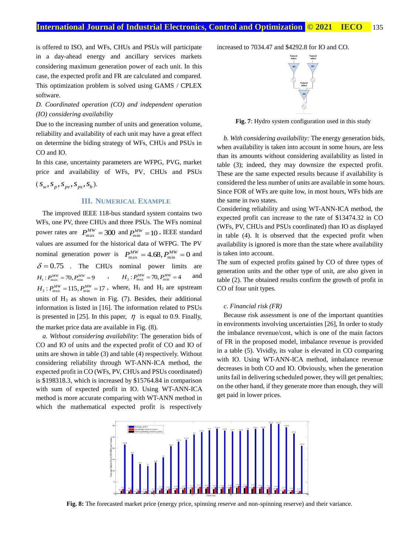is offered to ISO, and WFs, CHUs and PSUs will participate in a day-ahead energy and ancillary services markets considering maximum generation power of each unit. In this case, the expected profit and FR are calculated and compared. This optimization problem is solved using GAMS / CPLEX software.

# *D. Coordinated operation (CO) and independent operation (IO) considering availability*

Due to the increasing number of units and generation volume, reliability and availability of each unit may have a great effect on determine the biding strategy of WFs, CHUs and PSUs in CO and IO.

In this case, uncertainty parameters are WFPG, PVG, market price and availability of WFs, PV, CHUs and PSUs

$$
(s_w, s_p, s_{pv}, s_{ps}, s_h).
$$

## **III. NUMERICAL EXAMPLE**

The improved IEEE 118-bus standard system contains two WFs, one PV, three CHUs and three PSUs. The WFs nominal power rates are  $P_{\text{max}}^{MW} = 300$  and  $P_{\text{min}}^{MW} = 10$ . IEEE standard values are assumed for the historical data of WFPG. The PV nominal generation power is  $P_{\text{max}}^{MW} = 4.68, P_{\text{min}}^{MW} = 0$  and  $\delta = 0.75$  . The CHUs nominal power limits are  $H_1: P_{\text{max}}^{MW} = 70, P_{\text{min}}^{MW} = 9$  ,  $H_2: P_{\text{max}}^{MW} = 70, P_{\text{min}}^{MW} = 4$  and  $H_3$ :  $P_{\text{max}}^{MW}$  = 115,  $P_{\text{min}}^{MW}$  = 17, where,  $H_1$  and  $H_2$  are upstream units of  $H_3$  as shown in Fig. (7). Besides, their additional information is listed in [16]. The information related to PSUs is presented in [25]. In this paper,  $\eta$  is equal to 0.9. Finally, the market price data are available in Fig. (8).

*a. Without considering availability*: The generation bids of CO and IO of units and the expected profit of CO and IO of units are shown in table (3) and table (4) respectively. Without considering reliability through WT-ANN-ICA method, the expected profit in CO (WFs, PV, CHUs and PSUs coordinated) is \$198318.3, which is increased by \$15764.84 in comparison with sum of expected profit in IO. Using WT-ANN-ICA method is more accurate comparing with WT-ANN method in which the mathematical expected profit is respectively

increased to 7034.47 and \$4292.8 for IO and CO.



**Fig. 7**: Hydro system configuration used in this study

*b. With considering availability:* The energy generation bids, when availability is taken into account in some hours, are less than its amounts without considering availability as listed in table (3); indeed, they may downsize the expected profit. These are the same expected results because if availability is considered the less number of units are available in some hours. Since FOR of WFs are quite low, in most hours, WFs bids are the same in two states.

Considering reliability and using WT-ANN-ICA method, the expected profit can increase to the rate of \$13474.32 in CO (WFs, PV, CHUs and PSUs coordinated) than IO as displayed in table (4). It is observed that the expected profit when availability is ignored is more than the state where availability is taken into account.

The sum of expected profits gained by CO of three types of generation units and the other type of unit, are also given in table (2). The obtained results confirm the growth of profit in CO of four unit types.

#### *c. Financial risk (FR)*

Because risk assessment is one of the important quantities in environments involving uncertainties [26], In order to study the imbalance revenue/cost, which is one of the main factors of FR in the proposed model, imbalance revenue is provided in a table (5). Vividly, its value is elevated in CO comparing with IO. Using WT-ANN-ICA method, imbalance revenue decreases in both CO and IO. Obviously, when the generation units fail in delivering scheduled power, they will get penalties; on the other hand, if they generate more than enough, they will get paid in lower prices.



**Fig. 8:** The forecasted market price (energy price, spinning reserve and non-spinning reserve) and their variance.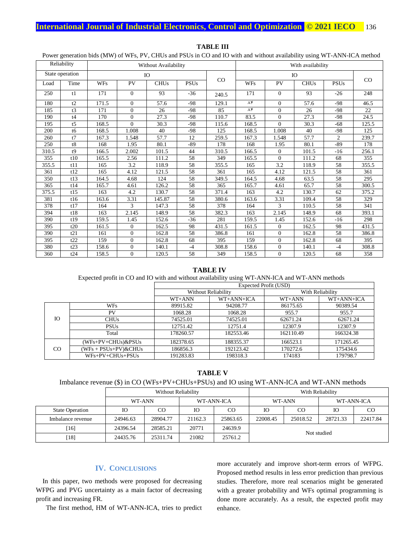|       | Reliability     | Without Availability |                |                        | With availability |             |             |                |                        |                |       |
|-------|-----------------|----------------------|----------------|------------------------|-------------------|-------------|-------------|----------------|------------------------|----------------|-------|
|       | State operation | IO                   |                |                        | IO                |             |             |                |                        |                |       |
| Load  | Time            | <b>WFs</b>           | PV             | <b>CHU<sub>s</sub></b> | <b>PSUs</b>       | $_{\rm CO}$ | <b>WFs</b>  | PV             | <b>CHU<sub>s</sub></b> | <b>PSUs</b>    | CO    |
| 250   | t1              | 171                  | $\Omega$       | 93                     | $-36$             | 240.5       | 171         | $\Omega$       | 93                     | $-26$          | 248   |
| 180   | t2              | 171.5                | $\Omega$       | 57.6                   | -98               | 129.1       | $\Lambda f$ | $\Omega$       | 57.6                   | $-98$          | 46.5  |
| 185   | t3              | 171                  | $\Omega$       | 26                     | $-98$             | 85          | $\Lambda f$ | $\theta$       | 26                     | $-98$          | 22    |
| 190   | t4              | 170                  | $\Omega$       | 27.3                   | $-98$             | 110.7       | 83.5        | $\theta$       | 27.3                   | $-98$          | 24.5  |
| 195   | t <sub>5</sub>  | 168.5                | $\Omega$       | 30.3                   | $-98$             | 115.6       | 168.5       | $\Omega$       | 30.3                   | $-68$          | 125.5 |
| 200   | t6              | 168.5                | 1.008          | 40                     | $-98$             | 125         | 168.5       | 1.008          | 40                     | $-98$          | 125   |
| 260   | t7              | 167.3                | 1.548          | 57.7                   | 12                | 259.5       | 167.3       | 1.548          | 57.7                   | $\overline{2}$ | 239.7 |
| 250   | t8              | 168                  | 1.95           | 80.1                   | $-89$             | 178         | 168         | 1.95           | 80.1                   | $-89$          | 178   |
| 310.5 | t9              | 166.5                | 2.002          | 101.5                  | 44                | 310.5       | 166.5       | $\mathbf{0}$   | 101.5                  | $-16$          | 256.1 |
| 355   | t10             | 165.5                | 2.56           | 111.2                  | 58                | 349         | 165.5       | $\Omega$       | 111.2                  | 68             | 355   |
| 355.5 | t11             | 165                  | 3.2            | 118.9                  | 58                | 355.5       | 165         | 3.2            | 118.9                  | 58             | 355.5 |
| 361   | t12             | 165                  | 4.12           | 121.5                  | 58                | 361         | 165         | 4.12           | 121.5                  | 58             | 361   |
| 350   | t13             | 164.5                | 4.68           | 124                    | 58                | 349.5       | 164.5       | 4.68           | 63.5                   | 58             | 295   |
| 365   | t14             | 165.7                | 4.61           | 126.2                  | 58                | 365         | 165.7       | 4.61           | 65.7                   | 58             | 300.5 |
| 375.5 | t15             | 163                  | 4.2            | 130.7                  | 58                | 371.4       | 163         | 4.2            | 130.7                  | 62             | 375.2 |
| 381   | t16             | 163.6                | 3.31           | 145.87                 | 58                | 380.6       | 163.6       | 3.31           | 109.4                  | 58             | 329   |
| 378   | t17             | 164                  | 3              | 147.3                  | 58                | 378         | 164         | 3              | 110.5                  | 58             | 341   |
| 394   | t18             | 163                  | 2.145          | 148.9                  | 58                | 382.3       | 163         | 2.145          | 148.9                  | 68             | 393.1 |
| 390   | t19             | 159.5                | 1.45           | 152.6                  | $-36$             | 281         | 159.5       | 1.45           | 152.6                  | $-16$          | 298   |
| 395   | t20             | 161.5                | $\Omega$       | 162.5                  | 98                | 431.5       | 161.5       | $\Omega$       | 162.5                  | 98             | 431.5 |
| 390   | t21             | 161                  | $\Omega$       | 162.8                  | 58                | 386.8       | 161         | $\Omega$       | 162.8                  | 58             | 386.8 |
| 395   | t22             | 159                  | $\overline{0}$ | 162.8                  | 68                | 395         | 159         | $\overline{0}$ | 162.8                  | 68             | 395   |
| 380   | t23             | 158.6                | $\Omega$       | 140.1                  | $-4$              | 308.8       | 158.6       | $\Omega$       | 140.1                  | $-4$           | 308.8 |
| 360   | t24             | 158.5                | $\Omega$       | 120.5                  | 58                | 349         | 158.5       | $\Omega$       | 120.5                  | 68             | 358   |

**TABLE III**

Power generation bids (MW) of WFs, PV, CHUs and PSUs in CO and IO with and without availability using WT-ANN-ICA method

#### **TABLE IV**

Expected profit in CO and IO with and without availability using WT-ANN-ICA and WT-ANN methods

|                |                           | Expected Profit (USD) |                     |                  |            |  |
|----------------|---------------------------|-----------------------|---------------------|------------------|------------|--|
|                |                           |                       | Without Reliability | With Reliability |            |  |
|                |                           | WT+ANN                | WT+ANN+ICA          | WT+ANN           | WT+ANN+ICA |  |
|                | WFs                       | 89915.82              | 94208.77            | 86175.65         | 90389.54   |  |
|                | PV                        | 1068.28               | 1068.28             | 955.7            | 955.7      |  |
| <b>IO</b>      | <b>CHUs</b>               | 74525.01              | 74525.01            | 62671.24         | 62671.24   |  |
|                | <b>PSUs</b>               | 12751.42              | 12751.4             | 12307.9          | 12307.9    |  |
|                | Total                     | 178260.57             | 182553.46           | 162110.49        | 166324.38  |  |
|                | (WFs+PV+CHUs)&PSUs        | 182378.65             | 188355.37           | 166523.1         | 171265.45  |  |
| C <sub>O</sub> | $(WFs + PSUs + PV)$ &CHUs | 186856.3              | 192123.42           | 170272.6         | 175434.6   |  |
|                | $WFs+PV+CHUs+PSUs$        | 191283.83             | 198318.3            | 174183           | 179798.7   |  |

**TABLE V**

## Imbalance revenue (\$) in CO (WFs+PV+CHUs+PSUs) and IO using WT-ANN-ICA and WT-ANN methods

|                        | Without Reliability |          |            |          | With Reliability     |  |            |          |
|------------------------|---------------------|----------|------------|----------|----------------------|--|------------|----------|
|                        | WT-ANN              |          | WT-ANN-ICA |          | WT-ANN               |  | WT-ANN-ICA |          |
| <b>State Operation</b> | <b>IO</b>           | CO       | IО         | CO       | Ю<br>C <sub>O</sub>  |  | Ю          | CO.      |
| Imbalance revenue      | 24946.63            | 28904.77 | 21162.3    | 25863.65 | 22008.45<br>25018.52 |  | 28721.33   | 22417.84 |
| [16]                   | 24396.54            | 28585.21 | 20771      | 24639.9  | Not studied          |  |            |          |
| $[18]$                 | 24435.76            | 25311.74 | 21082      | 25761.2  |                      |  |            |          |

### **IV. CONCLUSIONS**

In this paper, two methods were proposed for decreasing WFPG and PVG uncertainty as a main factor of decreasing profit and increasing FR.

The first method, HM of WT-ANN-ICA, tries to predict

more accurately and improve short-term errors of WFPG. Proposed method results in less error prediction than previous studies. Therefore, more real scenarios might be generated with a greater probability and WFs optimal programming is done more accurately. As a result, the expected profit may enhance.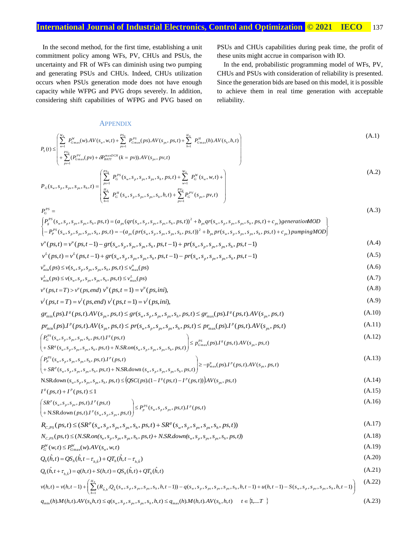In the second method, for the first time, establishing a unit commitment policy among WFs, PV, CHUs and PSUs, the uncertainty and FR of WFs can diminish using two pumping and generating PSUs and CHUs. Indeed, CHUs utilization occurs when PSUs generation mode does not have enough capacity while WFPG and PVG drops severely. In addition, considering shift capabilities of WFPG and PVG based on PSUs and CHUs capabilities during peak time, the profit of these units might accrue in comparison with IO.

In the end, probabilistic programming model of WFs, PV, CHUs and PSUs with consideration of reliability is presented. Since the generation bids are based on this model, it is possible to achieve them in real time generation with acceptable reliability.

(A.15)

## **APPENDIX**

 $PY =$ 

$$
P_{S}(t) \leq \begin{pmatrix} \sum_{w=1}^{W_{N}} P_{G\max}^{W}(w).AV(s_{w}, w, t) + \sum_{ps=1}^{PS_{N}} P_{G\max}^{PS}(ps).AV(s_{ps}, ps, t) + \sum_{h=1}^{H_{N}} P_{G\max}^{H}(h).AV(s_{h}, h, t) \\ + \sum_{v=1}^{PV_{N}} (P_{G\max}^{PV}(pv) + \delta P_{B\max}^{maxCH}(k = pv)).AV(s_{pv}, pv, t) \end{pmatrix}
$$
(A.1)

$$
\left( + \sum_{p=1}^{N} (P_{G\max}^{PV}(pv) + \delta P_{BATT}^{maxDCH}(k = pv)).AV(s_{pv}, pv, t) \right)
$$
\n
$$
P_G(s_w, s_p, s_{pv}, s_{ps}, s_h, t) = \begin{pmatrix} \sum_{p=1}^{PS_N} P_G^{PS}(s_w, s_p, s_{pv}, s_{ps}, s_h, ps, t) + \sum_{w=1}^{W_N} P_G^{W}(s_w, w, t) + \\ \sum_{h=1}^{H_N} P_G^{H}(s_w, s_p, s_{pv}, s_{ps}, s_h, h, t) + \sum_{p=1}^{PV_N} P_G^{PV}(s_{pv}, pv, t) \end{pmatrix}
$$
\n(A.2)

 *pv* 1 1 *P <sup>s</sup> <sup>s</sup> <sup>s</sup> <sup>s</sup> <sup>s</sup> p s <sup>t</sup> <sup>a</sup> p r <sup>s</sup> <sup>s</sup> <sup>s</sup> <sup>s</sup> <sup>s</sup> p s <sup>t</sup> b p r <sup>s</sup> <sup>s</sup> <sup>s</sup> <sup>s</sup> <sup>s</sup> p s <sup>t</sup> <sup>c</sup> pumpingMOD P <sup>s</sup> <sup>s</sup> <sup>s</sup> <sup>s</sup> <sup>s</sup> p s <sup>t</sup> <sup>a</sup> q r <sup>s</sup> <sup>s</sup> <sup>s</sup> <sup>s</sup> <sup>s</sup> p s <sup>t</sup> b q r <sup>s</sup> <sup>s</sup> <sup>s</sup> <sup>s</sup> <sup>s</sup> p s <sup>t</sup> <sup>c</sup> generationMOD P <sup>w</sup> p p v p s h p s <sup>w</sup> p p v p s h p s <sup>w</sup> p p v p s h p s P S P <sup>w</sup> p p v p s h p s <sup>w</sup> p p v p s h p s <sup>w</sup> p p v p s h p s P S g P S G* ( , , , , , , ) ( ( ( , , , , , , )) ( , , , , , , ) ) ( , , , , , , ) ( ( ( , , , , , , )) ( , , , , , , ) ) 2 2 (A.3)

$$
v^{u}(ps,t) = v^{u}(ps,t-1) - gr(s_{w}, s_{p}, s_{pv}, s_{ps}, s_{h}, ps,t-1) + pr(s_{w}, s_{p}, s_{pv}, s_{ps}, s_{h}, ps,t-1)
$$
\n(A.4)

$$
v^{L}(ps,t) = v^{L}(ps,t-1) + gr(s_{w}, s_{p}, s_{pv}, s_{ps}, s_{h}, ps,t-1) - pr(s_{w}, s_{p}, s_{pv}, s_{ps}, s_{h}, ps,t-1)
$$
\n(A.5)\n
$$
v^{u} \cdot (ps) \leq v(s_{w}, s_{w}, s_{w}, s_{w}, s_{w}) \leq v^{u} \cdot (ps) \tag{A.6}
$$

$$
v_{\min}^u(ps) \le v(s_w, s_p, s_{pv}, s_{ps}, s_h, ps, t) \le v_{\max}^u(ps)
$$
\n(A.6)\n
$$
v_{\min}^L(ps) \le v(s_w, s_p, s_{pv}, s_{ps}, s_h, ps, t) \le v_{\max}^L(ps)
$$
\n(A.7)

$$
v^{u}(ps, t = T) > v^{u}(ps, end) \ v^{u}(ps, t = 1) = v^{u}(ps, ini), \tag{A.8}
$$

$$
v^{l}(ps, t = T) = v^{l}(ps, end) v^{l}(ps, t = 1) = v^{l}(ps, ini),
$$
\n(A.9)

$$
gr_{\min}(ps) \cdot I^s (ps, t) \cdot AV(s_{ps}, ps, t) \le gr(s_w, s_p, s_{ps}, s_h, ps, t) \le gr_{\max}(ps) \cdot I^s (ps, t) \cdot AV(s_{ps}, ps, t) \tag{A.10}
$$

$$
pr_{\min}(ps) \cdot I^{p}(ps,t) \cdot AV(s_{ps}, ps,t) \le pr(s_{w}, s_{p}, s_{pv}, s_{ps}, s_{h}, ps,t) \le pr_{\max}(ps) \cdot I^{p}(ps,t) \cdot AV(s_{ps}, ps,t)
$$
\n(A.11)\n
$$
\begin{cases}\nP_{G}^{PS}(s_{w}, s_{p}, s_{pv}, s_{ps}, s_{h}, ps,t) & \le \nP_{G\max}^{PS}(ps) \cdot I^{p}(ps,t) \cdot AV(s_{ps}, ps,t) \\
\le \nP_{G\max}^{PS}(ps) \cdot I^{p}(ps,t) \cdot AV(s_{ns}, ps,t)\n\end{cases} (A.12)
$$

$$
\begin{pmatrix}\n1_G & (5y_w, 5y_p, 5y_p, 5y_s, 5y_t, 1) & (1112) \\
+ SR^g(s_w, s_p, s_p, s_p, s_h, ps, t) + N \cdot SR \cdot on(s_w, s_p, s_p, s_h, ps, t)\n\end{pmatrix}\n\leq p_{Gmax}^{PS}(ps) \cdot I^g(ps) \cdot I^g(ps) \cdot I^g(ps) \cdot I^g(ps) \cdot I^g(ps) \cdot I^g(ps) \cdot I^g(ps) \cdot I^g(ps) \cdot I^g(ps) \cdot I^g(ps) \cdot I^g(ps) \cdot I^g(ps) \cdot I^g(ps) \cdot I^g(ps) \cdot I^g(ps) \cdot I^g(ps) \cdot I^g(ps) \cdot I^g(ps) \cdot I^g(ps) \cdot I^g(ps) \cdot I^g(ps) \cdot I^g(ps) \cdot I^g(ps) \cdot I^g(ps) \cdot I^g(ps) \cdot I^g(ps) \cdot I^g(ps) \cdot I^g(ps) \cdot I^g(ps) \cdot I^g(ps) \cdot I^g(ps) \cdot I^g(ps) \cdot I^g(ps) \cdot I^g(ps) \cdot I^g(ps) \cdot I^g(ps) \cdot I^g(ps) \cdot I^g(ps) \cdot I^g(ps) \cdot I^g(ps) \cdot I^g(ps) \cdot I^g(ps) \cdot I^g(ps) \cdot I^g(ps) \cdot I^g(ps) \cdot I^g(ps) \cdot I^g(ps) \cdot I^g(ps) \cdot I^g(ps) \cdot I^g(ps) \cdot I^g(ps) \cdot I^g(ps) \cdot I^g(ps) \cdot I^g(ps) \cdot I^g(ps) \cdot I^g(ps) \cdot I^g(ps) \cdot I^g(ps) \cdot I^g(ps) \cdot I^g(ps) \cdot I^g(ps) \cdot I^g(ps) \cdot I^g(ps) \cdot I^g(ps) \cdot I^g(ps) \cdot I^g(ps) \cdot I^g(ps) \cdot I^g(ps) \cdot I^g(ps) \cdot I^g(ps) \cdot I^g(ps) \cdot I^g(ps) \cdot I^g(ps) \cdot I^g(ps) \cdot I^g(ps) \cdot I^g(ps) \cdot I^g(ps) \cdot I^g(ps) \cdot I^g(ps) \cdot I^g(ps) \cdot I^g(ps) \cdot I^g(ps) \cdot I^g(ps) \cdot I^g(ps) \cdot I^g(ps) \cdot I^g(ps) \cdot I^g(ps) \cdot I^g(ps) \cdot I^g(ps) \cdot I^g(ps) \cdot I^g(ps) \cdot I^g
$$

$$
\left(\frac{P_p^{rs}(s_w, s_p, s_p, s_p, s_h, p s, t) \cdot I^p(p s, t)}{+ SR^p(s_w, s_p, s_p, s_p, s_h, p s, t) + N \cdot SRdown(s_w, s_p, s_p, s_p, s_p, s_h, p s, t)}\right) \ge -p_{\max}^p(p s) \cdot I^p(p s, t) \cdot AV(s_p, p s, t) \tag{A.13}
$$

$$
N.SR down (s_w, s_p, s_{pv}, s_{ps}, s_h, ps, t) \le (QSC(ps) \cdot (1 - I^s (ps, t) - I^p (ps, t)) ) AV(s_{ps}, ps, t)
$$
\n(A.14)

$$
I^s (ps,t) + I^p (ps,t) \leq 1
$$

$$
\begin{pmatrix}\nSR^p(s_w, s_p, s_p, p s, t) \cdot I^p(ps, t) \\
+ \text{NSRdown}(ps, t) \cdot I^p(s_w, s_p, s_p, p s, t)\n\end{pmatrix}\n\le P_p^{PS}(s_w, s_p, s_p, p s, t) \cdot I^p(ps, t)
$$
\n(A.16)

$$
R_{C,PS}(ps,t) \le (SR^p(s_w, s_p, s_{pv}, s_{ps}, s_h, ps, t) + SR^g(s_w, s_p, s_{pv}, s_{ps}, s_h, ps, t))
$$
\n(A.17)

$$
N_{C,PS}(ps,t) \leq (N. SR. on(s_w, s_p, s_{pv}, s_{ps}, s_h, ps, t) + N. SR. down(s_w, s_p, s_{pv}, s_{ps}, s_h, ps, t))
$$
\n(A.18)

$$
P_G^W(w,t) \le P_{G_{\text{max}}}^W(w).AV(s_w, w, t)
$$
\n
$$
Q(\hat{L}, t) = Q(\hat{L}, t) = Q(\hat{L}, t) = \frac{Q}{\sqrt{2\pi}} \left(\frac{1}{2}(\hat{L}, t) - \frac{1}{2}(\hat{L}, t) - \frac{1}{2}(\hat{L}, t) - \frac{1}{2}(\hat{L}, t) - \frac{1}{2}(\hat{L}, t) - \frac{1}{2}(\hat{L}, t) - \frac{1}{2}(\hat{L}, t) - \frac{1}{2}(\hat{L}, t) - \frac{1}{2}(\hat{L}, t) - \frac{1}{2}(\hat{L}, t) - \frac{1}{2}(\hat{L}, t) - \frac{1}{2}(\hat{L}, t) - \frac{1}{2}(\hat{L}, t) - \frac{1}{2}(\hat{L}, t) - \frac{1}{2}(\hat{L}, t) - \frac{1}{2}(\hat{L}, t) - \frac{1}{2}(\hat{L}, t) - \frac{1}{2}(\hat{L}, t) - \frac{1}{2}(\hat{L}, t) - \frac{1}{2}(\hat{L}, t) - \frac{1}{2}(\hat{L}, t) - \frac{1}{2}(\hat{L}, t) - \frac{1}{2}(\hat{L}, t) - \frac{1}{2}(\hat{L}, t) - \frac{1}{2}(\hat{L}, t) - \frac{1}{2}(\hat{L}, t) - \frac{1}{2}(\hat{L}, t) - \frac{1}{2}(\hat{L}, t) - \frac{1}{2}(\hat{L}, t) - \frac{1}{2}(\hat{L}, t) - \frac{1}{2}(\hat{L}, t) - \frac{1}{2}(\hat{L}, t) - \frac{1}{2}(\hat{L}, t) - \frac{1}{2}(\hat{L}, t) - \frac{1}{2}(\hat{L}, t) - \frac{1}{2}(\hat{L}, t) - \frac{1}{2}(\hat{L}, t) - \frac{1}{2}(\hat{L}, t) - \frac{1}{2}(\hat{L}, t) - \frac{1}{2}(\hat{L}, t) - \frac{1}{2}(\hat{L}, t) - \frac{1}{2}(\hat{L}, t) - \frac{1}{2}(\hat{L}, t) - \frac{1}{2}(\hat{L}, t) - \frac{1}{2}(\hat{L}, t) - \frac{1
$$

$$
Q_h(\hat{h}, t) = QS_h(\hat{h}, t - \tau_{h, \hat{h}}) + QT_h(\hat{h}, t - \tau_{h, \hat{h}})
$$
\n(A.20)  
\n
$$
Q_h(\hat{h}, t + \tau_{h, \hat{h}}) = a(h, t) + S(h, t) = QS_h(\hat{h}, t) + OT_h(\hat{h}, t)
$$
\n(A.21)

$$
Q_h(\hat{h}, t + \tau_{h, \hat{h}}) = q(h, t) + S(h, t) = QS_h(\hat{h}, t) + QT_h(\hat{h}, t)
$$
\n(A.21)

$$
v(h,t) = v(h,t-1) + \left(\sum_{h=1}^{H_N} (R_{\hat{h},h}Q_{\hat{h}}(s_w, s_p, s_{ps}, s_h, h, t-1)) - q(s_w, s_p, s_{ps}, s_{ps}, s_p, s_{ps}, s_h, h, t-1) + u(h,t-1) - S(s_w, s_p, s_{ps}, s_h, h, t-1)\right)
$$
(A.22)  

$$
q_{\min}(h) \cdot M(h,t) \cdot AV(s_hh,t) \leq q(s_w, s_p, s_{ps}, s_h, h, t) \leq q_{\max}(h) \cdot M(h,t) \cdot AV(s_h, h, t) \quad t \in \{1, \dots, T\}
$$
(A.23)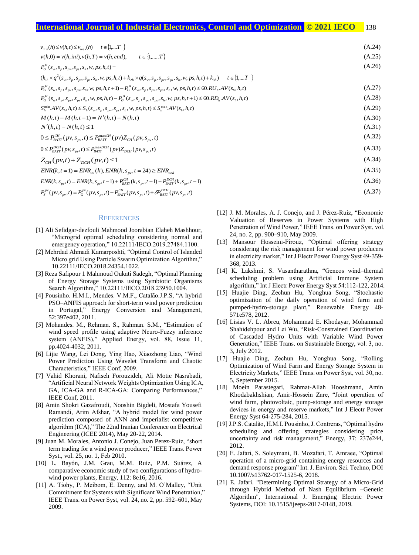## **International Journal of Industrial Electronics, Control and Optimization .© 2021 IECO…** 138

| $v_{\min}(h) \le v(h,t) \le v_{\max}(h)$ $t \in \{1,T\}$                                                                                                  | (A.24) |
|-----------------------------------------------------------------------------------------------------------------------------------------------------------|--------|
| $t \in \{1, \dots, T\}$<br>$v(h,0) = v(h,ini), v(h,T) = v(h, end),$                                                                                       | (A.25) |
| $P_G^H(s_w, s_p, s_{pv}, s_{ps}, s_h, w, ps, h, t) =$                                                                                                     | (A.26) |
| $(k_{1h} \times q^2(s_w, s_p, s_{pv}, s_{ps}, s_h, w, ps, h, t) + k_{2h} \times q(s_w, s_p, s_{pv}, s_{ps}, s_h, w, ps, h, t) + k_{3h})$ $t \in \{1,T \}$ |        |
| $P_G^H(s_w, s_v, s_w, s_{vs}, s_h, w, ps, h, t+1) - P_G^H(s_w, s_v, s_{sv}, s_{vs}, s_h, w, ps, h, t) \leq 60.RU_h.AV(s_h, h, t)$                         | (A.27) |
| $P_G^H(s_w, s_v, s_w, s_{vs}, s_h, w, ps, h, t) - P_G^H(s_w, s_v, s_{sv}, s_{vs}, s_h, w, ps, h, t+1) \leq 60.RD_hAV(s_h, h, t)$                          | (A.28) |
| $S_h^{\min} A V(s_h, h, t) \leq S_h(s_w, s_v, s_w, s_{vs}, s_h, w, ps, h, t) \leq S_h^{\max} A V(s_h, h, t)$                                              | (A.29) |
| $M(h,t) - M(h,t-1) = N'(h,t) - N(h,t)$                                                                                                                    | (A.30) |
| $N'(h,t) - N(h,t) \leq 1$                                                                                                                                 | (A.31) |
| $0 \le P_{BATT}^{CH}(pv, s_{pv}, t) \le P_{BATT}^{\max CH}(pv) Z_{CH}(pv, s_{pv}, t)$                                                                     | (A.32) |
| $0 \leq P_{BAT}^{DCH}(pv, s_{pv}, t) \leq P_{BAT}^{maxDCH}(pv) Z_{DCH}(pv, s_{pv}, t)$                                                                    | (A.33) |
| $Z_{CH}(pv,t) + Z_{DCH}(pv,t) \leq 1$                                                                                                                     | (A.34) |
| $ENR(k, t = 1) = ENR_{ini}(k), ENR(k, s_{pv}, t = 24) \geq ENR_{end}$                                                                                     | (A.35) |
| $ENR(k, s_{\nu}, t) = ENR(k, s_{\nu}, t-1) + P_{BATT}^{CH}(k, s_{\nu}, t-1) - P_{BATT}^{DCH}(k, s_{\nu}, t-1)$                                            | (A.36) |
| $P_S^{pv}(pv, s_{\nu v}, t) = P_G^{pv}(pv, s_{\nu v}, t) - P_{BAT}^{CH}(pv, s_{\nu v}, t) + \delta P_{BAT}^{DCH}(pv, s_{\nu v}, t)$                       | (A.37) |

#### **REFERENCES**

- [1] Ali Sefidgar-dezfouli Mahmood Joorabian Elaheh Mashhour, "Microgrid optimal scheduling considering normal and emergency operation," 10.22111/IECO.2019.27484.1100.
- [2] Mehrdad Ahmadi Kamarposhti, "Optimal Control of Islanded Micro grid Using Particle Swarm Optimization Algorithm," 10.22111/IECO.2018.24354.1022.
- [3] Reza Safipour 1 Mahmoud Oukati Sadegh, "Optimal Planning of Energy Storage Systems using Symbiotic Organisms Search Algorithm," 10.22111/IECO.2018.23950.1004.
- [4] Pousinho. H.M.I., Mendes. V.M.F., Catalão.J.P.S, "A hybrid PSO–ANFIS approach for short-term wind power prediction in Portugal," Energy Conversion and Management, 52:397e402, 2011.
- [5] Mohandes. M., Rehman. S., Rahman. S.M., "Estimation of wind speed profile using adaptive Neuro-Fuzzy inference system (ANFIS)," Applied Energy, vol. 88, Issue 11, pp.4024-4032, 2011.
- [6] Lijie Wang, Lei Dong, Ying Hao, Xiaozhong Liao, "Wind Power Prediction Using Wavelet Transform and Chaotic Characteristics," IEEE Conf, 2009.
- [7] Vahid Khorani, Nafiseh Forouzideh, Ali Motie Nasrabadi, "Artificial Neural Network Weights Optimization Using ICA, GA, ICA-GA and R-ICA-GA: Comparing Performances," IEEE Conf, 2011.
- [8] Amin Shokri Gazafroudi, Nooshin Bigdeli, Mostafa Yousefi Ramandi, Arim Afshar, "A hybrid model for wind power prediction composed of ANN and imperialist competitive algorithm (ICA)," The 22nd Iranian Conference on Electrical Engineering (ICEE 2014), May 20-22, 2014.
- [9] Juan M. Morales, Antonio J. Conejo, Juan Perez-Ruiz, "short term trading for a wind power producer," IEEE Trans. Power Syst., vol. 25, no. 1, Feb 2010.
- [10] L. Bayón, J.M. Grau, M.M. Ruiz, P.M. Suárez, A comparative economic study of two configurations of hydrowind power plants, Energy, 112: 8e16, 2016.
- [11] A. Tiohy, P. Meibom, E. Denny, and M. O'Malley, "Unit Commitment for Systems with Significant Wind Penetration," IEEE Trans. on Power Syst, vol. 24, no. 2, pp. 592–601, May 2009.
- [12] J. M. Morales, A. J. Conejo, and J. Pérez-Ruiz, "Economic Valuation of Reserves in Power Systems with High Penetration of Wind Power," IEEE Trans. on Power Syst, vol. 24, no. 2, pp. 900–910, May 2009.
- [13] Mansour Hosseini-Firouz, "Optimal offering strategy considering the risk management for wind power producers in electricity market," Int J Electr Power Energy Syst 49-359- 368, 2013.
- [14] K. Lakshmi, S. Vasantharathna, "Gencos wind–thermal scheduling problem using Artificial Immune System algorithm," Int J Electr Power Energy Syst 54:112-122, 2014.
- [15] Huajie Ding, Zechun Hu, Yonghua Song, "Stochastic optimization of the daily operation of wind farm and pumped-hydro-storage plant," Renewable Energy 48- 571e578, 2012.
- [16] Lisias V. L. Abreu, Mohammad E. Khodayar, Mohammad Shahidehpour and Lei Wu, "Risk-Constrained Coordination of Cascaded Hydro Units with Variable Wind Power Generation," IEEE Trans. on Sustainable Energy, vol. 3, no. 3, July 2012.
- [17] Huajie Ding, Zechun Hu, Yonghua Song, "Rolling Optimization of Wind Farm and Energy Storage System in Electricity Markets," IEEE Trans. on Power Syst, vol. 30, no. 5, September 2015.
- [18] Moein Parastegari, Rahmat-Allah Hooshmand, Amin Khodabakhshian, Amir-Hossein Zare, "Joint operation of wind farm, photovoltaic, pump-storage and energy storage devices in energy and reserve markets," Int J Electr Power Energy Syst 64-275-284, 2015.
- [19] J.P.S. Catalão, H.M.I. Pousinho, J. Contreras, "Optimal hydro scheduling and offering strategies considering price uncertainty and risk management," Energy, 37: 237e244, 2012.
- [20] E. Jafari, S. Soleymani, B. Mozafari, T. Amraee, "Optimal operation of a micro-grid containing energy resources and demand response program" Int. J. Environ. Sci. Techno, DOI 10.1007/s13762-017-1525-6, 2018.
- [21] E. Jafari. "Determining Optimal Strategy of a Micro-Grid through Hybrid Method of Nash Equilibrium –Genetic Algorithm", International J. Emerging Electric Power Systems, DOI: 10.1515/ijeeps-2017-0148, 2019.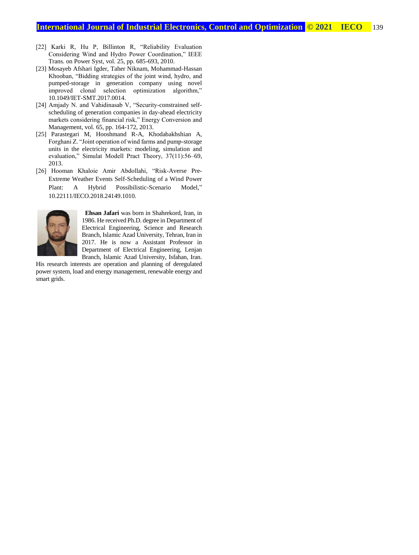- [22] Karki R, Hu P, Billinton R, "Reliability Evaluation Considering Wind and Hydro Power Coordination," IEEE Trans. on Power Syst, vol. 25, pp. 685-693, 2010.
- [23] Mosayeb Afshari Igder, Taher Niknam, Mohammad-Hassan Khooban, "Bidding strategies of the joint wind, hydro, and pumped-storage in generation company using novel improved clonal selection optimization algorithm," 10.1049/IET-SMT.2017.0014.
- [24] Amjady N. and Vahidinasab V, "Security-constrained selfscheduling of generation companies in day-ahead electricity markets considering financial risk," Energy Conversion and Management, vol. 65, pp. 164-172, 2013.
- [25] Parastegari M, Hooshmand R-A, Khodabakhshian A, Forghani Z. "Joint operation of wind farms and pump-storage units in the electricity markets: modeling, simulation and evaluation," Simulat Modell Pract Theory, 37(11):56–69, 2013.
- [26] Hooman Khaloie Amir Abdollahi, "Risk-Averse Pre-Extreme Weather Events Self-Scheduling of a Wind Power Plant: A Hybrid Possibilistic-Scenario Model," 10.22111/IECO.2018.24149.1010.



**Ehsan Jafari** was born in Shahrekord, Iran, in 1986. He received Ph.D. degree in Department of Electrical Engineering, Science and Research Branch, Islamic Azad University, Tehran, Iran in 2017. He is now a Assistant Professor in Department of Electrical Engineering, Lenjan Branch, Islamic Azad University, Isfahan, Iran.

His research interests are operation and planning of deregulated power system, load and energy management, renewable energy and smart grids.